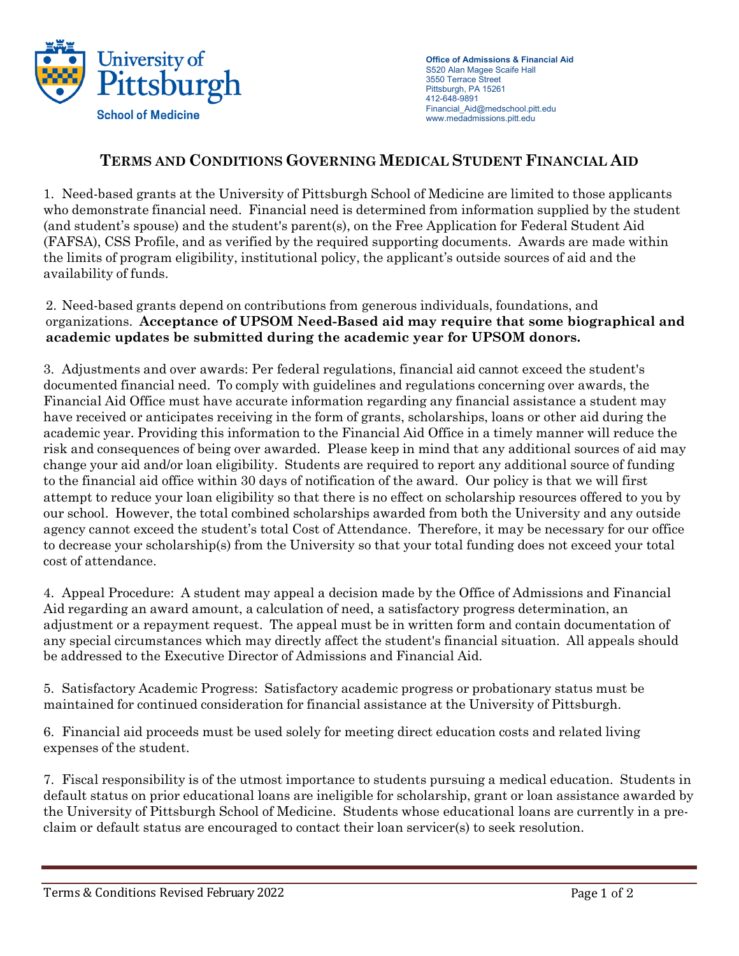

**Office of Admissions & Financial Aid** S520 Alan Magee Scaife Hall 3550 Terrace Street Pittsburgh, PA 15261 412-648-9891 Financial\_Aid@medschool.pitt.edu www.medadmissions.pitt.edu

## **TERMS AND CONDITIONS GOVERNING MEDICAL STUDENT FINANCIAL AID**

1. Need-based grants at the University of Pittsburgh School of Medicine are limited to those applicants who demonstrate financial need. Financial need is determined from information supplied by the student (and student's spouse) and the student's parent(s), on the Free Application for Federal Student Aid (FAFSA), CSS Profile, and as verified by the required supporting documents. Awards are made within the limits of program eligibility, institutional policy, the applicant's outside sources of aid and the availability of funds.

## 2. Need-based grants depend on contributions from generous individuals, foundations, and organizations. **Acceptance of UPSOM Need-Based aid may require that some biographical and academic updates be submitted during the academic year for UPSOM donors.**

3. Adjustments and over awards: Per federal regulations, financial aid cannot exceed the student's documented financial need. To comply with guidelines and regulations concerning over awards, the Financial Aid Office must have accurate information regarding any financial assistance a student may have received or anticipates receiving in the form of grants, scholarships, loans or other aid during the academic year. Providing this information to the Financial Aid Office in a timely manner will reduce the risk and consequences of being over awarded. Please keep in mind that any additional sources of aid may change your aid and/or loan eligibility. Students are required to report any additional source of funding to the financial aid office within 30 days of notification of the award. Our policy is that we will first attempt to reduce your loan eligibility so that there is no effect on scholarship resources offered to you by our school. However, the total combined scholarships awarded from both the University and any outside agency cannot exceed the student's total Cost of Attendance. Therefore, it may be necessary for our office to decrease your scholarship(s) from the University so that your total funding does not exceed your total cost of attendance.

4. Appeal Procedure: A student may appeal a decision made by the Office of Admissions and Financial Aid regarding an award amount, a calculation of need, a satisfactory progress determination, an adjustment or a repayment request. The appeal must be in written form and contain documentation of any special circumstances which may directly affect the student's financial situation. All appeals should be addressed to the Executive Director of Admissions and Financial Aid.

5. Satisfactory Academic Progress: Satisfactory academic progress or probationary status must be maintained for continued consideration for financial assistance at the University of Pittsburgh.

6. Financial aid proceeds must be used solely for meeting direct education costs and related living expenses of the student.

7. Fiscal responsibility is of the utmost importance to students pursuing a medical education. Students in default status on prior educational loans are ineligible for scholarship, grant or loan assistance awarded by the University of Pittsburgh School of Medicine. Students whose educational loans are currently in a preclaim or default status are encouraged to contact their loan servicer(s) to seek resolution.

Terms & Conditions Revised February 2022 **Page 1** of 2